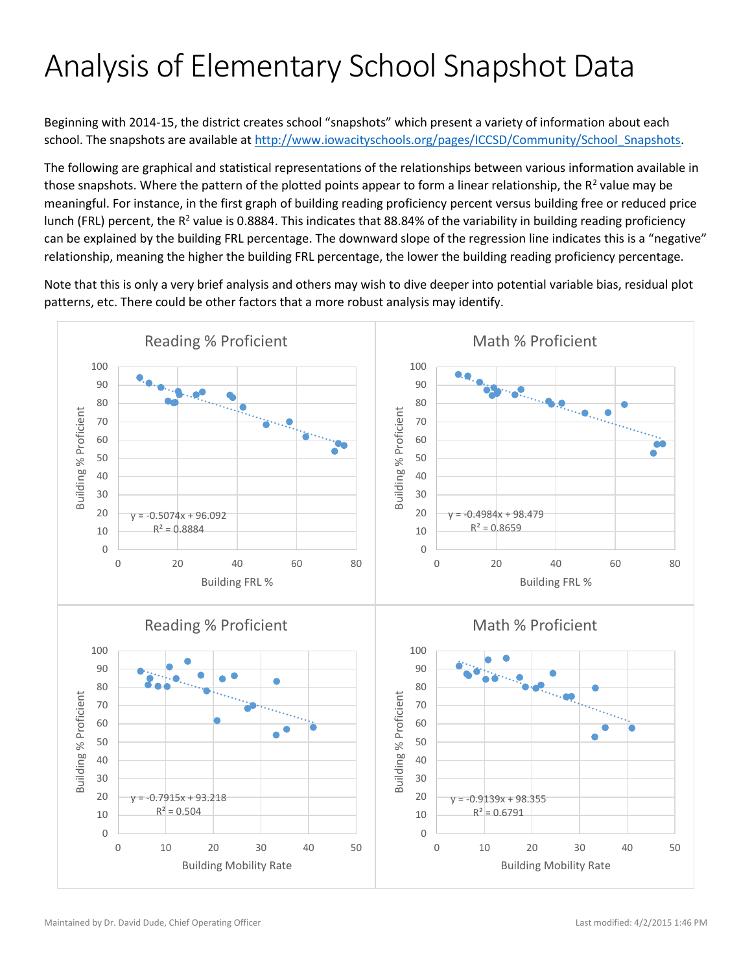## Analysis of Elementary School Snapshot Data

Beginning with 2014-15, the district creates school "snapshots" which present a variety of information about each school. The snapshots are available at [http://www.iowacityschools.org/pages/ICCSD/Community/School\\_Snapshots.](http://www.iowacityschools.org/pages/ICCSD/Community/School_Snapshots)

The following are graphical and statistical representations of the relationships between various information available in those snapshots. Where the pattern of the plotted points appear to form a linear relationship, the R<sup>2</sup> value may be meaningful. For instance, in the first graph of building reading proficiency percent versus building free or reduced price lunch (FRL) percent, the R<sup>2</sup> value is 0.8884. This indicates that 88.84% of the variability in building reading proficiency can be explained by the building FRL percentage. The downward slope of the regression line indicates this is a "negative" relationship, meaning the higher the building FRL percentage, the lower the building reading proficiency percentage.

Note that this is only a very brief analysis and others may wish to dive deeper into potential variable bias, residual plot patterns, etc. There could be other factors that a more robust analysis may identify.

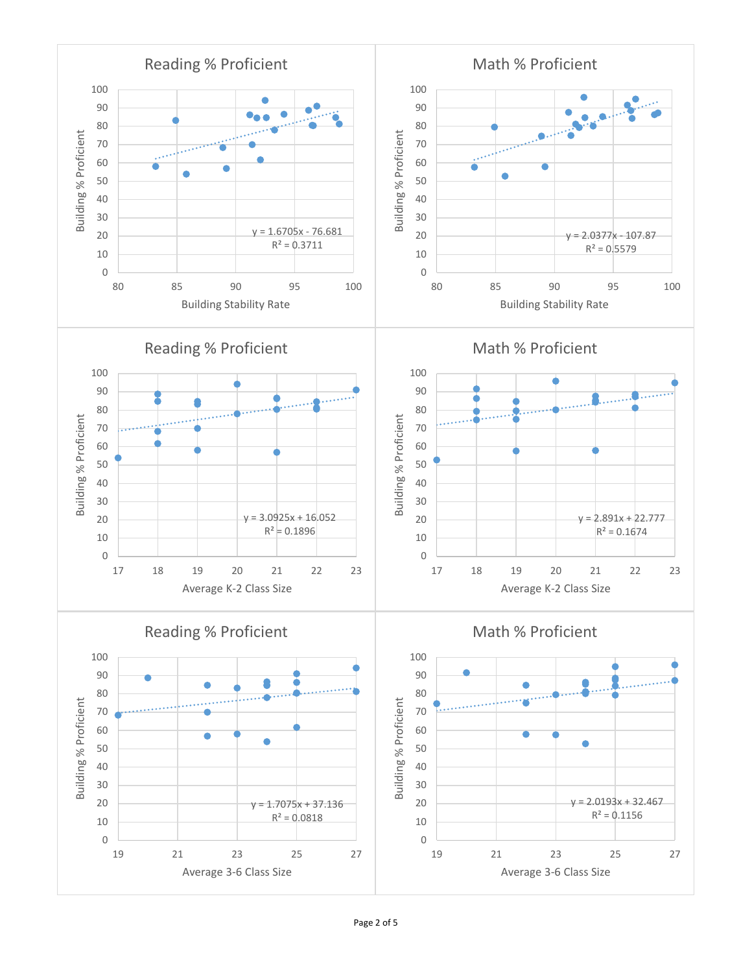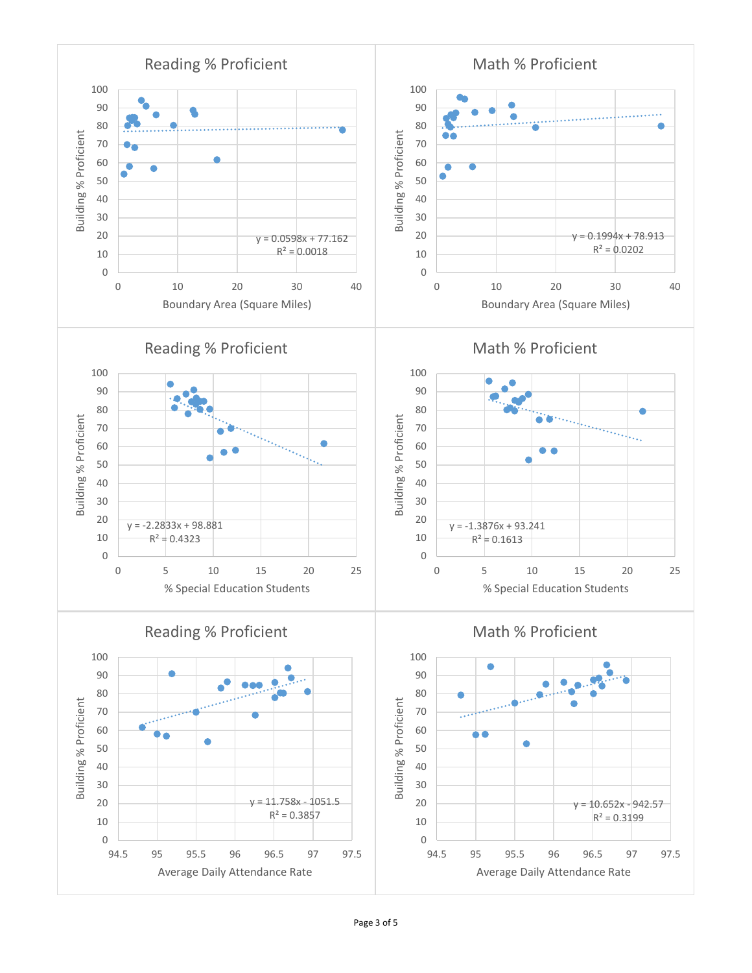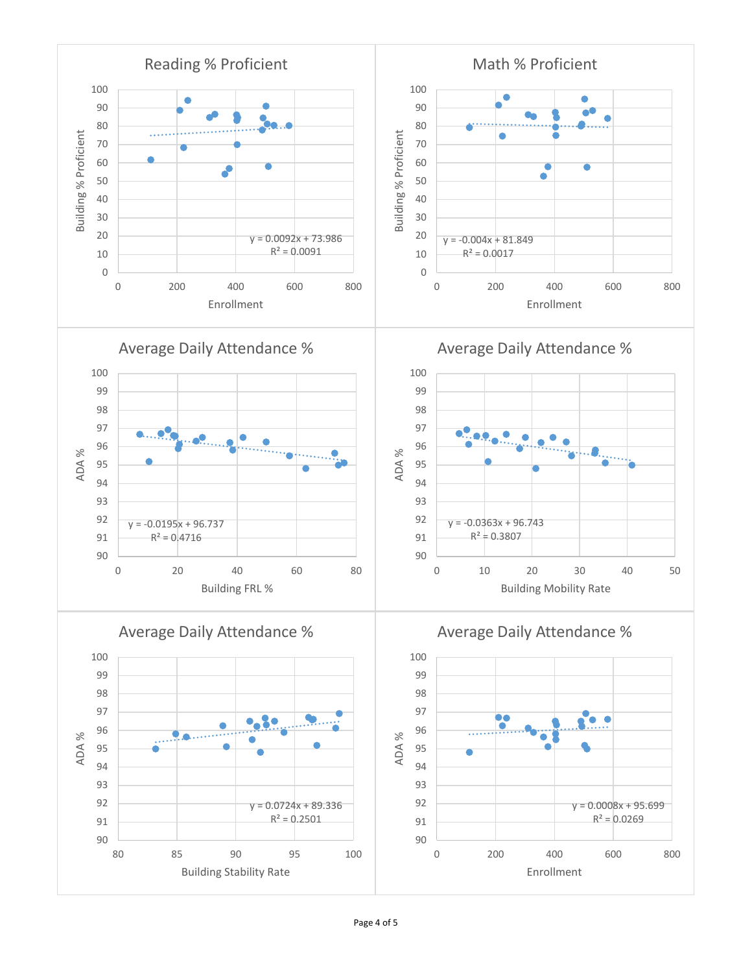